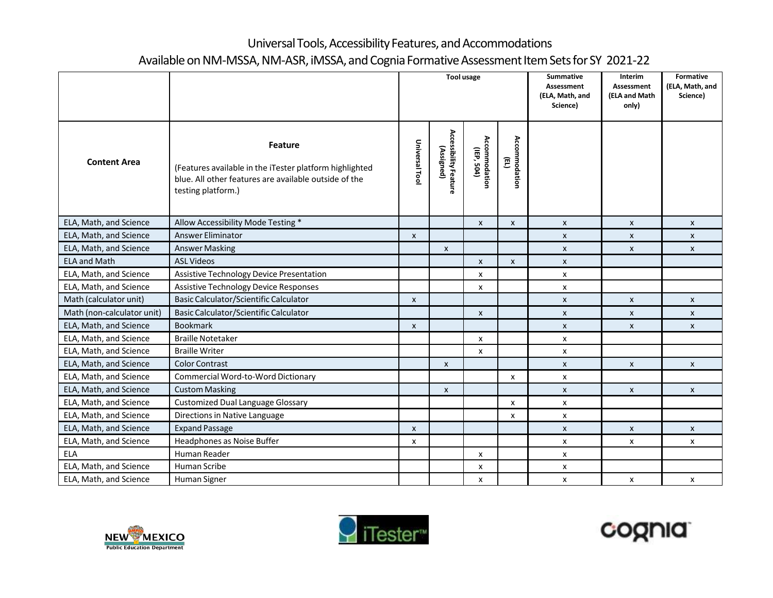## Universal Tools, Accessibility Features, and Accommodations Available on NM-MSSA, NM-ASR, iMSSA, and Cognia Formative Assessment Item Sets for SY 2021-22

|                            |                                                                                                                                                   | <b>Tool usage</b>  |                                     |                             |                    | <b>Summative</b><br>Assessment<br>(ELA, Math, and<br>Science) | Interim<br><b>Assessment</b><br>(ELA and Math<br>only) | <b>Formative</b><br>(ELA, Math, and<br>Science) |
|----------------------------|---------------------------------------------------------------------------------------------------------------------------------------------------|--------------------|-------------------------------------|-----------------------------|--------------------|---------------------------------------------------------------|--------------------------------------------------------|-------------------------------------------------|
| <b>Content Area</b>        | Feature<br>(Features available in the iTester platform highlighted<br>blue. All other features are available outside of the<br>testing platform.) | Universal Tool     | Accessibility Feature<br>(Assigned) | Accommodation<br>(IEP, 504) | Accommodation<br>Ē |                                                               |                                                        |                                                 |
| ELA, Math, and Science     | Allow Accessibility Mode Testing *                                                                                                                |                    |                                     | $\pmb{\mathsf{x}}$          | $\pmb{\mathsf{x}}$ | $\mathsf{x}$                                                  | $\pmb{\chi}$                                           | $\mathsf{x}$                                    |
| ELA, Math, and Science     | <b>Answer Eliminator</b>                                                                                                                          | $\pmb{\chi}$       |                                     |                             |                    | X                                                             | $\mathsf{x}$                                           | $\pmb{\mathsf{x}}$                              |
| ELA, Math, and Science     | <b>Answer Masking</b>                                                                                                                             |                    | X                                   |                             |                    | $\mathsf{x}$                                                  | $\boldsymbol{\mathsf{x}}$                              | X                                               |
| <b>ELA and Math</b>        | <b>ASL Videos</b>                                                                                                                                 |                    |                                     | $\pmb{\mathsf{x}}$          | $\pmb{\mathsf{x}}$ | $\pmb{\mathsf{X}}$                                            |                                                        |                                                 |
| ELA, Math, and Science     | Assistive Technology Device Presentation                                                                                                          |                    |                                     | x                           |                    | $\pmb{\mathsf{x}}$                                            |                                                        |                                                 |
| ELA, Math, and Science     | <b>Assistive Technology Device Responses</b>                                                                                                      |                    |                                     | x                           |                    | X                                                             |                                                        |                                                 |
| Math (calculator unit)     | Basic Calculator/Scientific Calculator                                                                                                            | $\pmb{\mathsf{x}}$ |                                     |                             |                    | X                                                             | $\pmb{\chi}$                                           | X                                               |
| Math (non-calculator unit) | Basic Calculator/Scientific Calculator                                                                                                            |                    |                                     | $\pmb{\chi}$                |                    | $\mathsf{x}$                                                  | $\boldsymbol{\mathsf{x}}$                              | X                                               |
| ELA, Math, and Science     | <b>Bookmark</b>                                                                                                                                   | $\pmb{\times}$     |                                     |                             |                    | $\pmb{\mathsf{x}}$                                            | $\pmb{\times}$                                         | $\pmb{\times}$                                  |
| ELA, Math, and Science     | <b>Braille Notetaker</b>                                                                                                                          |                    |                                     | X                           |                    | X                                                             |                                                        |                                                 |
| ELA, Math, and Science     | <b>Braille Writer</b>                                                                                                                             |                    |                                     | X                           |                    | $\pmb{\mathsf{x}}$                                            |                                                        |                                                 |
| ELA, Math, and Science     | <b>Color Contrast</b>                                                                                                                             |                    | $\pmb{\mathsf{X}}$                  |                             |                    | $\pmb{\mathsf{x}}$                                            | $\boldsymbol{\mathsf{x}}$                              | $\pmb{\mathsf{x}}$                              |
| ELA, Math, and Science     | Commercial Word-to-Word Dictionary                                                                                                                |                    |                                     |                             | X                  | x                                                             |                                                        |                                                 |
| ELA, Math, and Science     | <b>Custom Masking</b>                                                                                                                             |                    | $\pmb{\mathsf{X}}$                  |                             |                    | $\mathsf{x}$                                                  | $\pmb{\chi}$                                           | $\boldsymbol{\mathsf{x}}$                       |
| ELA, Math, and Science     | <b>Customized Dual Language Glossary</b>                                                                                                          |                    |                                     |                             | X                  | $\pmb{\mathsf{x}}$                                            |                                                        |                                                 |
| ELA, Math, and Science     | Directions in Native Language                                                                                                                     |                    |                                     |                             | $\mathsf{x}$       | X                                                             |                                                        |                                                 |
| ELA, Math, and Science     | <b>Expand Passage</b>                                                                                                                             | $\pmb{\mathsf{x}}$ |                                     |                             |                    | $\pmb{\mathsf{X}}$                                            | $\pmb{\mathsf{X}}$                                     | $\pmb{\mathsf{x}}$                              |
| ELA, Math, and Science     | Headphones as Noise Buffer                                                                                                                        | X                  |                                     |                             |                    | X                                                             | X                                                      | X                                               |
| <b>ELA</b>                 | Human Reader                                                                                                                                      |                    |                                     | X                           |                    | X                                                             |                                                        |                                                 |
| ELA, Math, and Science     | Human Scribe                                                                                                                                      |                    |                                     | X                           |                    | $\pmb{\mathsf{x}}$                                            |                                                        |                                                 |
| ELA, Math, and Science     | Human Signer                                                                                                                                      |                    |                                     | x                           |                    | x                                                             | X                                                      | X                                               |





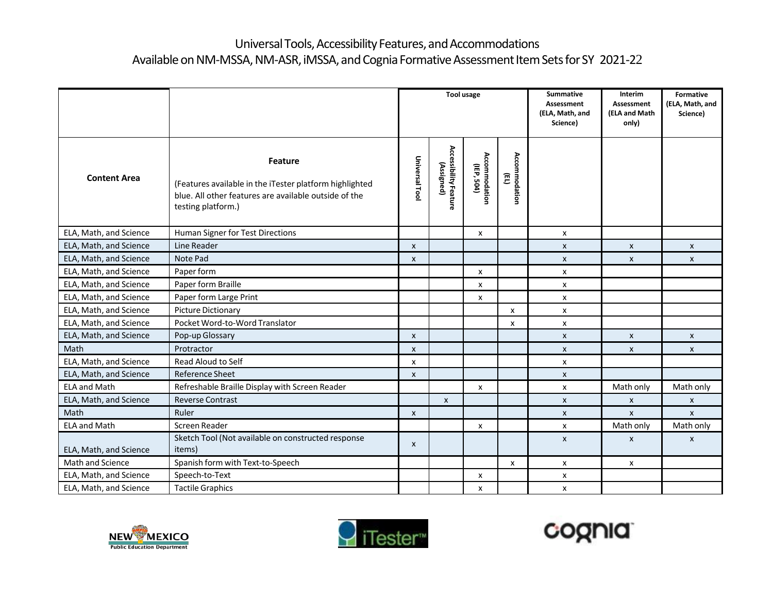## Universal Tools, Accessibility Features, and Accommodations Available on NM-MSSA, NM-ASR, iMSSA, and Cognia Formative Assessment Item Sets for SY 2021-22

|                        |                                                                                                                                                   | <b>Tool usage</b>         |                                     |                             |                                         | <b>Summative</b><br><b>Assessment</b><br>(ELA, Math, and<br>Science) | Interim<br><b>Assessment</b><br>(ELA and Math<br>only) | Formative<br>(ELA, Math, and<br>Science) |
|------------------------|---------------------------------------------------------------------------------------------------------------------------------------------------|---------------------------|-------------------------------------|-----------------------------|-----------------------------------------|----------------------------------------------------------------------|--------------------------------------------------------|------------------------------------------|
| <b>Content Area</b>    | Feature<br>(Features available in the iTester platform highlighted<br>blue. All other features are available outside of the<br>testing platform.) | Universal Tool            | Accessibility Feature<br>(Assigned) | Accommodation<br>(IEP, 504) | Accommodation<br>$\widehat{\mathbb{E}}$ |                                                                      |                                                        |                                          |
| ELA, Math, and Science | Human Signer for Test Directions                                                                                                                  |                           |                                     | X                           |                                         | X                                                                    |                                                        |                                          |
| ELA, Math, and Science | Line Reader                                                                                                                                       | $\mathsf{x}$              |                                     |                             |                                         | $\mathsf{x}$                                                         | $\boldsymbol{\mathsf{x}}$                              | $\mathsf{x}$                             |
| ELA, Math, and Science | Note Pad                                                                                                                                          | $\mathsf{x}$              |                                     |                             |                                         | $\mathsf{x}$                                                         | $\boldsymbol{\mathsf{x}}$                              | $\mathsf{x}$                             |
| ELA, Math, and Science | Paper form                                                                                                                                        |                           |                                     | X                           |                                         | $\mathsf{x}$                                                         |                                                        |                                          |
| ELA, Math, and Science | Paper form Braille                                                                                                                                |                           |                                     | X                           |                                         | $\mathsf{x}$                                                         |                                                        |                                          |
| ELA, Math, and Science | Paper form Large Print                                                                                                                            |                           |                                     | X                           |                                         | $\mathsf{x}$                                                         |                                                        |                                          |
| ELA, Math, and Science | <b>Picture Dictionary</b>                                                                                                                         |                           |                                     |                             | x                                       | X                                                                    |                                                        |                                          |
| ELA, Math, and Science | Pocket Word-to-Word Translator                                                                                                                    |                           |                                     |                             | x                                       | $\mathsf{x}$                                                         |                                                        |                                          |
| ELA, Math, and Science | Pop-up Glossary                                                                                                                                   | $\mathsf{x}$              |                                     |                             |                                         | $\mathsf{x}$                                                         | $\boldsymbol{\mathsf{x}}$                              | $\mathsf{x}$                             |
| Math                   | Protractor                                                                                                                                        | $\pmb{\chi}$              |                                     |                             |                                         | $\mathsf{x}$                                                         | $\pmb{\times}$                                         | $\boldsymbol{\mathsf{x}}$                |
| ELA, Math, and Science | Read Aloud to Self                                                                                                                                | X                         |                                     |                             |                                         | X                                                                    |                                                        |                                          |
| ELA, Math, and Science | <b>Reference Sheet</b>                                                                                                                            | $\mathsf{x}$              |                                     |                             |                                         | $\mathsf{x}$                                                         |                                                        |                                          |
| <b>ELA and Math</b>    | Refreshable Braille Display with Screen Reader                                                                                                    |                           |                                     | X                           |                                         | $\mathsf{x}$                                                         | Math only                                              | Math only                                |
| ELA, Math, and Science | <b>Reverse Contrast</b>                                                                                                                           |                           | $\mathsf{x}$                        |                             |                                         | $\mathsf{x}$                                                         | $\pmb{\times}$                                         | $\mathsf{x}$                             |
| Math                   | Ruler                                                                                                                                             | $\boldsymbol{\mathsf{x}}$ |                                     |                             |                                         | $\mathsf{x}$                                                         | $\boldsymbol{\mathsf{x}}$                              | $\pmb{\chi}$                             |
| <b>ELA and Math</b>    | Screen Reader                                                                                                                                     |                           |                                     | X                           |                                         | X                                                                    | Math only                                              | Math only                                |
| ELA, Math, and Science | Sketch Tool (Not available on constructed response<br>items)                                                                                      | $\pmb{\mathsf{x}}$        |                                     |                             |                                         | $\boldsymbol{\mathsf{x}}$                                            | $\boldsymbol{\mathsf{x}}$                              | $\pmb{\chi}$                             |
| Math and Science       | Spanish form with Text-to-Speech                                                                                                                  |                           |                                     |                             | X                                       | $\mathsf{x}$                                                         | X                                                      |                                          |
| ELA, Math, and Science | Speech-to-Text                                                                                                                                    |                           |                                     | X                           |                                         | X                                                                    |                                                        |                                          |
| ELA, Math, and Science | <b>Tactile Graphics</b>                                                                                                                           |                           |                                     | X                           |                                         | X                                                                    |                                                        |                                          |